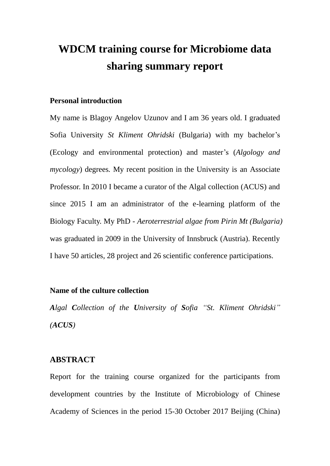# **WDCM training course for Microbiome data sharing summary report**

#### **Personal introduction**

My name is Blagoy Angelov Uzunov and I am 36 years old. I graduated Sofia University *St Kliment Ohridski* (Bulgaria) with my bachelor's (Ecology and environmental protection) and master's (*Algology and mycology*) degrees*.* My recent position in the University is an Associate Professor. In 2010 I became a curator of the Algal collection (ACUS) and since 2015 I am an administrator of the e-learning platform of the Biology Faculty. My PhD - *Aeroterrestrial algae from Pirin Mt (Bulgaria)* was graduated in 2009 in the University of Innsbruck (Austria). Recently I have 50 articles, 28 project and 26 scientific conference participations.

#### **Name of the culture collection**

*Algal Collection of the University of Sofia "St. Kliment Ohridski" (ACUS)*

#### **ABSTRACT**

Report for the training course organized for the participants from development countries by the Institute of Microbiology of Chinese Academy of Sciences in the period 15-30 October 2017 Beijing (China)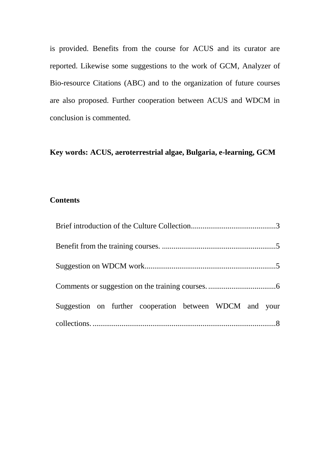is provided. Benefits from the course for ACUS and its curator are reported. Likewise some suggestions to the work of GCM, Analyzer of Bio-resource Citations (ABC) and to the organization of future courses are also proposed. Further cooperation between ACUS and WDCM in conclusion is commented.

## **Key words: ACUS, aeroterrestrial algae, Bulgaria, e-learning, GCM**

### **Contents**

<span id="page-1-0"></span>

| Suggestion on further cooperation between WDCM and your |  |
|---------------------------------------------------------|--|
|                                                         |  |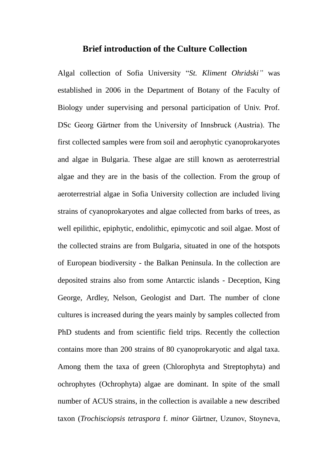#### **Brief introduction of the Culture Collection**

Algal collection of Sofia University "*St. Kliment Ohridski"* was established in 2006 in the Department of Botany of the Faculty of Biology under supervising and personal participation of Univ. Prof. DSc Georg Gärtner from the University of Innsbruck (Austria). The first collected samples were from soil and aerophytic cyanoprokaryotes and algae in Bulgaria. These algae are still known as aeroterrestrial algae and they are in the basis of the collection. From the group of aeroterrestrial algae in Sofia University collection are included living strains of cyanoprokaryotes and algae collected from barks of trees, as well epilithic, epiphytic, endolithic, epimycotic and soil algae. Most of the collected strains are from Bulgaria, situated in one of the hotspots of European biodiversity - the Balkan Peninsula. In the collection are deposited strains also from some Antarctic islands - Deception, King George, Ardley, Nelson, Geologist and Dart. The number of clone cultures is increased during the years mainly by samples collected from PhD students and from scientific field trips. Recently the collection contains more than 200 strains of 80 cyanoprokaryotic and algal taxa. Among them the taxa of green (Chlorophyta and Streptophyta) and ochrophytes (Ochrophyta) algae are dominant. In spite of the small number of ACUS strains, in the collection is available a new described taxon (*Trochisciopsis tetraspora* f. *minor* Gärtner, Uzunov, Stoyneva,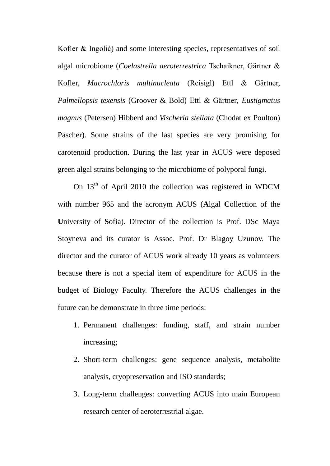Kofler & Ingolić) and some interesting species, representatives of soil algal microbiome (*Coelastrella aeroterrestrica* Tschaikner, Gärtner & Kofler, *Macrochloris multinucleata* (Reisigl) Ettl & Gärtner, *Palmellopsis texensis* (Groover & Bold) Ettl & Gärtner*, Eustigmatus magnus* (Petersen) Hibberd and *Vischeria stellata* (Chodat ex Poulton) Pascher). Some strains of the last species are very promising for carotenoid production. During the last year in ACUS were deposed green algal strains belonging to the microbiome of polyporal fungi.

On  $13<sup>th</sup>$  of April 2010 the collection was registered in WDCM with number 965 and the acronym ACUS (**A**lgal **C**ollection of the **U**niversity of **S**ofia). Director of the collection is Prof. DSc Maya Stoyneva and its curator is Assoc. Prof. Dr Blagoy Uzunov. The director and the curator of ACUS work already 10 years as volunteers because there is not a special item of expenditure for ACUS in the budget of Biology Faculty. Therefore the ACUS challenges in the future can be demonstrate in three time periods:

- 1. Permanent challenges: funding, staff, and strain number increasing;
- 2. Short-term challenges: gene sequence analysis, metabolite analysis, cryopreservation and ISO standards;
- 3. Long-term challenges: converting ACUS into main European research center of aeroterrestrial algae.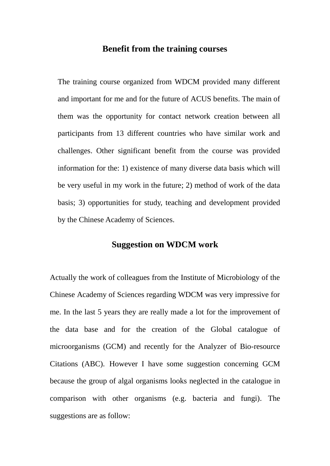## **Benefit from the training courses**

<span id="page-4-0"></span>The training course organized from WDCM provided many different and important for me and for the future of ACUS benefits. The main of them was the opportunity for contact network creation between all participants from 13 different countries who have similar work and challenges. Other significant benefit from the course was provided information for the: 1) existence of many diverse data basis which will be very useful in my work in the future; 2) method of work of the data basis; 3) opportunities for study, teaching and development provided by the Chinese Academy of Sciences.

#### **Suggestion on WDCM work**

<span id="page-4-1"></span>Actually the work of colleagues from the Institute of Microbiology of the Chinese Academy of Sciences regarding WDCM was very impressive for me. In the last 5 years they are really made a lot for the improvement of the data base and for the creation of the Global catalogue of microorganisms (GCM) and recently for the Analyzer of Bio-resource Citations (ABC). However I have some suggestion concerning GCM because the group of algal organisms looks neglected in the catalogue in comparison with other organisms (e.g. bacteria and fungi). The suggestions are as follow: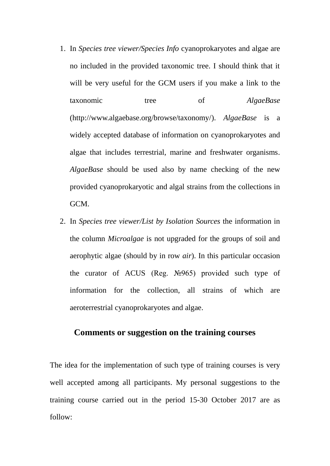- 1. In *Species tree viewer/Species Info* cyanoprokaryotes and algae are no included in the provided taxonomic tree. I should think that it will be very useful for the GCM users if you make a link to the taxonomic tree of *AlgaeBase* (http://www.algaebase.org/browse/taxonomy/). *AlgaeBase* is a widely accepted database of information on cyanoprokaryotes and algae that includes terrestrial, marine and freshwater organisms. *AlgaeBase* should be used also by name checking of the new provided cyanoprokaryotic and algal strains from the collections in GCM.
- 2. In *Species tree viewer/List by Isolation Sources* the information in the column *Microalgae* is not upgraded for the groups of soil and aerophytic algae (should by in row *air*). In this particular occasion the curator of ACUS (Reg. №965) provided such type of information for the collection, all strains of which are aeroterrestrial cyanoprokaryotes and algae.

## <span id="page-5-0"></span>**Comments or suggestion on the training courses**

The idea for the implementation of such type of training courses is very well accepted among all participants. My personal suggestions to the training course carried out in the period 15-30 October 2017 are as follow: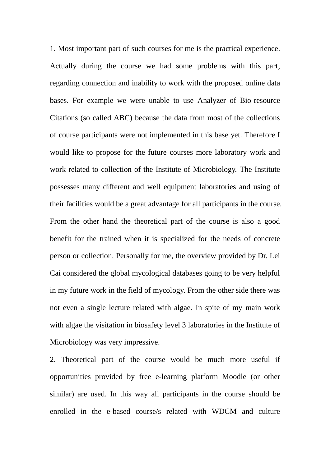1. Most important part of such courses for me is the practical experience. Actually during the course we had some problems with this part, regarding connection and inability to work with the proposed online data bases. For example we were unable to use Analyzer of Bio-resource Citations (so called ABC) because the data from most of the collections of course participants were not implemented in this base yet. Therefore I would like to propose for the future courses more laboratory work and work related to collection of the Institute of Microbiology. The Institute possesses many different and well equipment laboratories and using of their facilities would be a great advantage for all participants in the course. From the other hand the theoretical part of the course is also a good benefit for the trained when it is specialized for the needs of concrete person or collection. Personally for me, the overview provided by Dr. Lei Cai considered the global mycological databases going to be very helpful in my future work in the field of mycology. From the other side there was not even a single lecture related with algae. In spite of my main work with algae the visitation in biosafety level 3 laboratories in the Institute of Microbiology was very impressive.

2. Theoretical part of the course would be much more useful if opportunities provided by free e-learning platform Moodle (or other similar) are used. In this way all participants in the course should be enrolled in the e-based course/s related with WDCM and culture